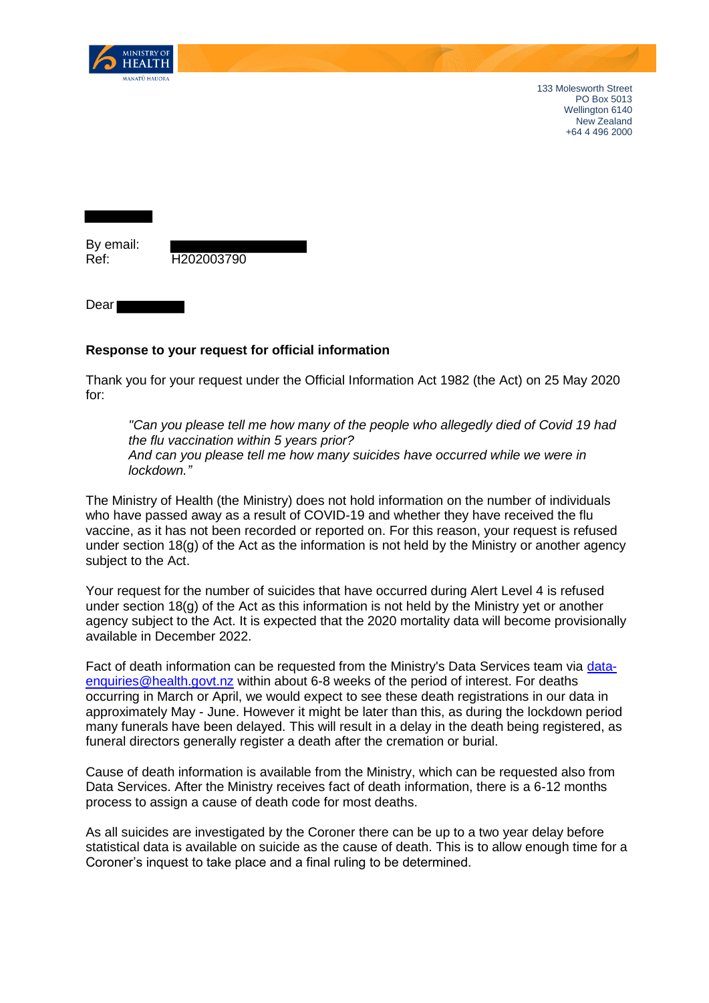

133 Molesworth Street PO Box 5013 Wellington 6140 New Zealand +64 4 496 2000

By email:

Ref: H202003790

Dear

## **Response to your request for official information**

Thank you for your request under the Official Information Act 1982 (the Act) on 25 May 2020 for:

*"Can you please tell me how many of the people who allegedly died of Covid 19 had the flu vaccination within 5 years prior? And can you please tell me how many suicides have occurred while we were in lockdown."*

The Ministry of Health (the Ministry) does not hold information on the number of individuals who have passed away as a result of COVID-19 and whether they have received the flu vaccine, as it has not been recorded or reported on. For this reason, your request is refused under section 18(g) of the Act as the information is not held by the Ministry or another agency subject to the Act.

Your request for the number of suicides that have occurred during Alert Level 4 is refused under section 18(g) of the Act as this information is not held by the Ministry yet or another agency subject to the Act. It is expected that the 2020 mortality data will become provisionally available in December 2022.

Fact of death information can be requested from the Ministry's Data Services team via [data](mailto:data-enquiries@health.govt.nz)[enquiries@health.govt.nz](mailto:data-enquiries@health.govt.nz) within about 6-8 weeks of the period of interest. For deaths occurring in March or April, we would expect to see these death registrations in our data in approximately May - June. However it might be later than this, as during the lockdown period many funerals have been delayed. This will result in a delay in the death being registered, as funeral directors generally register a death after the cremation or burial.

Cause of death information is available from the Ministry, which can be requested also from Data Services. After the Ministry receives fact of death information, there is a 6-12 months process to assign a cause of death code for most deaths.

As all suicides are investigated by the Coroner there can be up to a two year delay before statistical data is available on suicide as the cause of death. This is to allow enough time for a Coroner's inquest to take place and a final ruling to be determined.